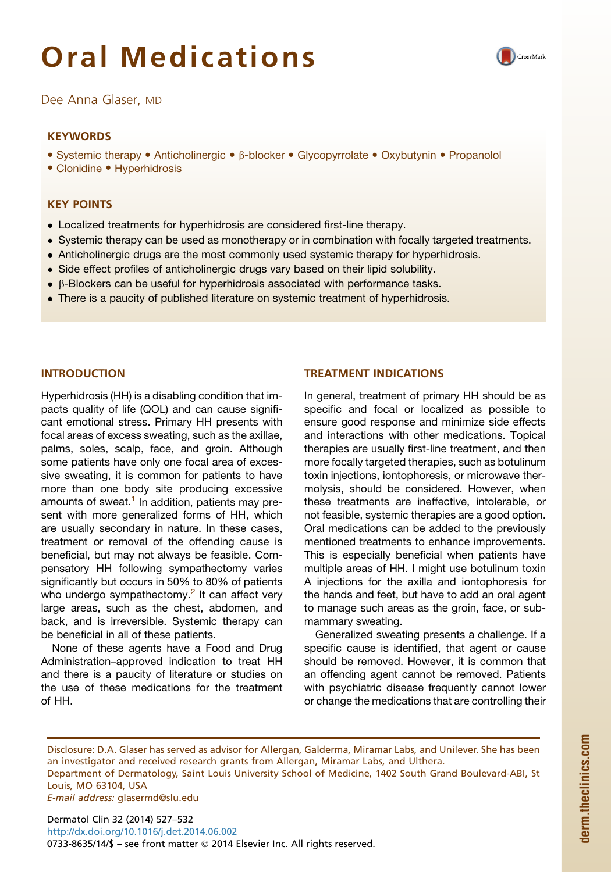# Oral Medications



Dee Anna Glaser, MD

## **KEYWORDS**

- $\bullet$  Systemic therapy  $\bullet$  Anticholinergic  $\bullet$   $\beta$ -blocker  $\bullet$  Glycopyrrolate  $\bullet$  Oxybutynin  $\bullet$  Propanolol
- Clonidine Hyperhidrosis

## KEY POINTS

- Localized treatments for hyperhidrosis are considered first-line therapy.
- Systemic therapy can be used as monotherapy or in combination with focally targeted treatments.
- Anticholinergic drugs are the most commonly used systemic therapy for hyperhidrosis.
- Side effect profiles of anticholinergic drugs vary based on their lipid solubility.
- b-Blockers can be useful for hyperhidrosis associated with performance tasks.
- There is a paucity of published literature on systemic treatment of hyperhidrosis.

# INTRODUCTION

Hyperhidrosis (HH) is a disabling condition that impacts quality of life (QOL) and can cause significant emotional stress. Primary HH presents with focal areas of excess sweating, such as the axillae, palms, soles, scalp, face, and groin. Although some patients have only one focal area of excessive sweating, it is common for patients to have more than one body site producing excessive amounts of sweat.<sup>1</sup> In addition, patients may present with more generalized forms of HH, which are usually secondary in nature. In these cases, treatment or removal of the offending cause is beneficial, but may not always be feasible. Compensatory HH following sympathectomy varies significantly but occurs in 50% to 80% of patients who undergo sympathectomy. $2$  It can affect very large areas, such as the chest, abdomen, and back, and is irreversible. Systemic therapy can be beneficial in all of these patients.

None of these agents have a Food and Drug Administration–approved indication to treat HH and there is a paucity of literature or studies on the use of these medications for the treatment of HH.

# TREATMENT INDICATIONS

In general, treatment of primary HH should be as specific and focal or localized as possible to ensure good response and minimize side effects and interactions with other medications. Topical therapies are usually first-line treatment, and then more focally targeted therapies, such as botulinum toxin injections, iontophoresis, or microwave thermolysis, should be considered. However, when these treatments are ineffective, intolerable, or not feasible, systemic therapies are a good option. Oral medications can be added to the previously mentioned treatments to enhance improvements. This is especially beneficial when patients have multiple areas of HH. I might use botulinum toxin A injections for the axilla and iontophoresis for the hands and feet, but have to add an oral agent to manage such areas as the groin, face, or submammary sweating.

Generalized sweating presents a challenge. If a specific cause is identified, that agent or cause should be removed. However, it is common that an offending agent cannot be removed. Patients with psychiatric disease frequently cannot lower or change the medications that are controlling their

Disclosure: D.A. Glaser has served as advisor for Allergan, Galderma, Miramar Labs, and Unilever. She has been an investigator and received research grants from Allergan, Miramar Labs, and Ulthera. Department of Dermatology, Saint Louis University School of Medicine, 1402 South Grand Boulevard-ABI, St Louis, MO 63104, USA

E-mail address: [glasermd@slu.edu](mailto:glasermd@slu.edu)

Dermatol Clin 32 (2014) 527–532 <http://dx.doi.org/10.1016/j.det.2014.06.002> 0733-8635/14/\$ - see front matter © 2014 Elsevier Inc. All rights reserved.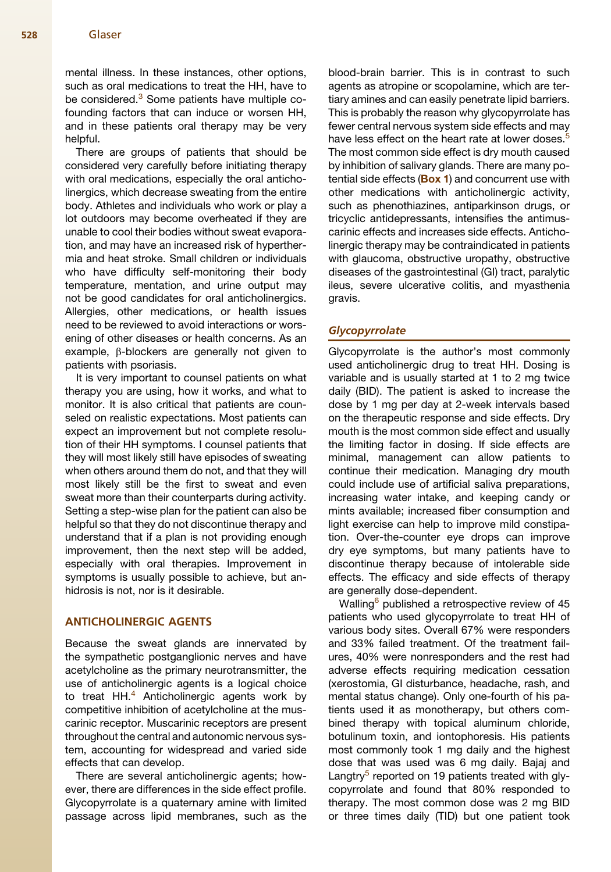#### 528 Glaser

mental illness. In these instances, other options, such as oral medications to treat the HH, have to be considered.<sup>[3](#page-4-0)</sup> Some patients have multiple cofounding factors that can induce or worsen HH, and in these patients oral therapy may be very helpful.

There are groups of patients that should be considered very carefully before initiating therapy with oral medications, especially the oral anticholinergics, which decrease sweating from the entire body. Athletes and individuals who work or play a lot outdoors may become overheated if they are unable to cool their bodies without sweat evaporation, and may have an increased risk of hyperthermia and heat stroke. Small children or individuals who have difficulty self-monitoring their body temperature, mentation, and urine output may not be good candidates for oral anticholinergics. Allergies, other medications, or health issues need to be reviewed to avoid interactions or worsening of other diseases or health concerns. As an example,  $\beta$ -blockers are generally not given to patients with psoriasis.

It is very important to counsel patients on what therapy you are using, how it works, and what to monitor. It is also critical that patients are counseled on realistic expectations. Most patients can expect an improvement but not complete resolution of their HH symptoms. I counsel patients that they will most likely still have episodes of sweating when others around them do not, and that they will most likely still be the first to sweat and even sweat more than their counterparts during activity. Setting a step-wise plan for the patient can also be helpful so that they do not discontinue therapy and understand that if a plan is not providing enough improvement, then the next step will be added, especially with oral therapies. Improvement in symptoms is usually possible to achieve, but anhidrosis is not, nor is it desirable.

#### ANTICHOLINERGIC AGENTS

Because the sweat glands are innervated by the sympathetic postganglionic nerves and have acetylcholine as the primary neurotransmitter, the use of anticholinergic agents is a logical choice to treat  $HH<sup>4</sup>$  $HH<sup>4</sup>$  $HH<sup>4</sup>$  Anticholinergic agents work by competitive inhibition of acetylcholine at the muscarinic receptor. Muscarinic receptors are present throughout the central and autonomic nervous system, accounting for widespread and varied side effects that can develop.

There are several anticholinergic agents; however, there are differences in the side effect profile. Glycopyrrolate is a quaternary amine with limited passage across lipid membranes, such as the blood-brain barrier. This is in contrast to such agents as atropine or scopolamine, which are tertiary amines and can easily penetrate lipid barriers. This is probably the reason why glycopyrrolate has fewer central nervous system side effects and may have less effect on the heart rate at lower doses.<sup>[5](#page-4-0)</sup> The most common side effect is dry mouth caused by inhibition of salivary glands. There are many potential side effects  $(Box 1)$  $(Box 1)$  $(Box 1)$  and concurrent use with other medications with anticholinergic activity, such as phenothiazines, antiparkinson drugs, or tricyclic antidepressants, intensifies the antimuscarinic effects and increases side effects. Anticholinergic therapy may be contraindicated in patients with glaucoma, obstructive uropathy, obstructive diseases of the gastrointestinal (GI) tract, paralytic ileus, severe ulcerative colitis, and myasthenia gravis.

#### **Glycopyrrolate**

Glycopyrrolate is the author's most commonly used anticholinergic drug to treat HH. Dosing is variable and is usually started at 1 to 2 mg twice daily (BID). The patient is asked to increase the dose by 1 mg per day at 2-week intervals based on the therapeutic response and side effects. Dry mouth is the most common side effect and usually the limiting factor in dosing. If side effects are minimal, management can allow patients to continue their medication. Managing dry mouth could include use of artificial saliva preparations, increasing water intake, and keeping candy or mints available; increased fiber consumption and light exercise can help to improve mild constipation. Over-the-counter eye drops can improve dry eye symptoms, but many patients have to discontinue therapy because of intolerable side effects. The efficacy and side effects of therapy are generally dose-dependent.

Walling<sup>[6](#page-4-0)</sup> published a retrospective review of 45 patients who used glycopyrrolate to treat HH of various body sites. Overall 67% were responders and 33% failed treatment. Of the treatment failures, 40% were nonresponders and the rest had adverse effects requiring medication cessation (xerostomia, GI disturbance, headache, rash, and mental status change). Only one-fourth of his patients used it as monotherapy, but others combined therapy with topical aluminum chloride, botulinum toxin, and iontophoresis. His patients most commonly took 1 mg daily and the highest dose that was used was 6 mg daily. Bajaj and Langtry<sup>[5](#page-4-0)</sup> reported on 19 patients treated with glycopyrrolate and found that 80% responded to therapy. The most common dose was 2 mg BID or three times daily (TID) but one patient took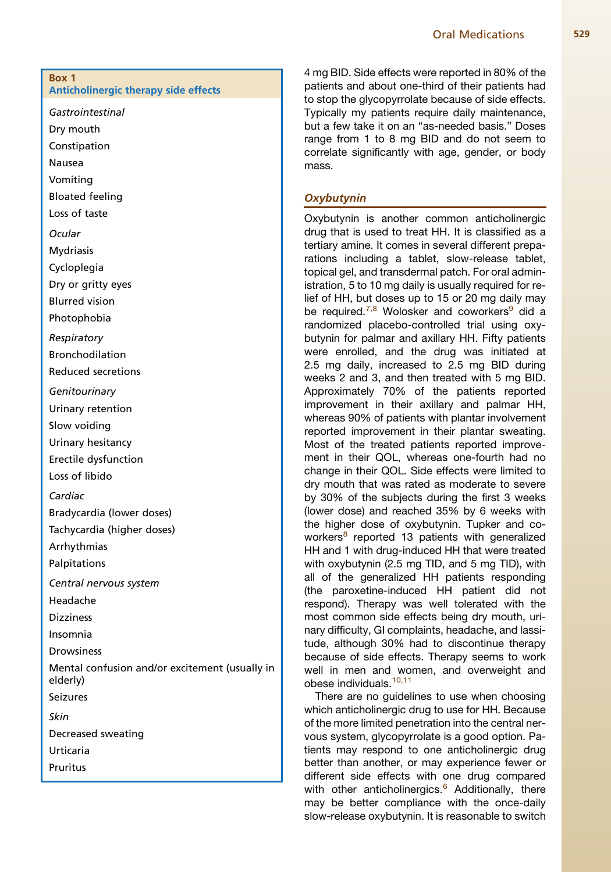#### <span id="page-2-0"></span>Box 1

# Anticholinergic therapy side effects

Gastrointestinal Dry mouth Constipation Nausea Vomiting Bloated feeling Loss of taste Ocular Mydriasis Cycloplegia Dry or gritty eyes Blurred vision Photophobia Respiratory Bronchodilation Reduced secretions **Genitourinary** Urinary retention Slow voiding Urinary hesitancy Erectile dysfunction Loss of libido **Cardiac** Bradycardia (lower doses) Tachycardia (higher doses) Arrhythmias Palpitations Central nervous system Headache **Dizziness** Insomnia **Drowsiness** Mental confusion and/or excitement (usually in elderly) Seizures Skin Decreased sweating Urticaria Pruritus

4 mg BID. Side effects were reported in 80% of the patients and about one-third of their patients had to stop the glycopyrrolate because of side effects. Typically my patients require daily maintenance, but a few take it on an "as-needed basis." Doses range from 1 to 8 mg BID and do not seem to correlate significantly with age, gender, or body mass.

### **Oxybutynin**

Oxybutynin is another common anticholinergic drug that is used to treat HH. It is classified as a tertiary amine. It comes in several different preparations including a tablet, slow-release tablet, topical gel, and transdermal patch. For oral administration, 5 to 10 mg daily is usually required for relief of HH, but doses up to 15 or 20 mg daily may be required.<sup>[7,8](#page-4-0)</sup> Wolosker and coworkers<sup>[9](#page-5-0)</sup> did a randomized placebo-controlled trial using oxybutynin for palmar and axillary HH. Fifty patients were enrolled, and the drug was initiated at 2.5 mg daily, increased to 2.5 mg BID during weeks 2 and 3, and then treated with 5 mg BID. Approximately 70% of the patients reported improvement in their axillary and palmar HH, whereas 90% of patients with plantar involvement reported improvement in their plantar sweating. Most of the treated patients reported improvement in their QOL, whereas one-fourth had no change in their QOL. Side effects were limited to dry mouth that was rated as moderate to severe by 30% of the subjects during the first 3 weeks (lower dose) and reached 35% by 6 weeks with the higher dose of oxybutynin. Tupker and co-workers<sup>[8](#page-4-0)</sup> reported 13 patients with generalized HH and 1 with drug-induced HH that were treated with oxybutynin (2.5 mg TID, and 5 mg TID), with all of the generalized HH patients responding (the paroxetine-induced HH patient did not respond). Therapy was well tolerated with the most common side effects being dry mouth, urinary difficulty, GI complaints, headache, and lassitude, although 30% had to discontinue therapy because of side effects. Therapy seems to work well in men and women, and overweight and obese individuals.[10,11](#page-5-0)

There are no guidelines to use when choosing which anticholinergic drug to use for HH. Because of the more limited penetration into the central nervous system, glycopyrrolate is a good option. Patients may respond to one anticholinergic drug better than another, or may experience fewer or different side effects with one drug compared with other anticholinergics. $6$  Additionally, there may be better compliance with the once-daily slow-release oxybutynin. It is reasonable to switch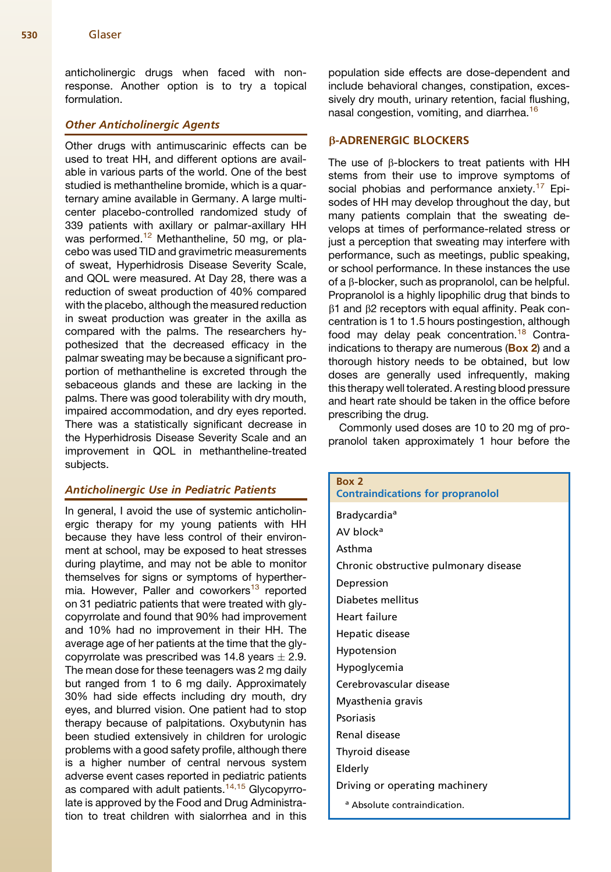anticholinergic drugs when faced with nonresponse. Another option is to try a topical formulation.

## Other Anticholinergic Agents

Other drugs with antimuscarinic effects can be used to treat HH, and different options are available in various parts of the world. One of the best studied is methantheline bromide, which is a quarternary amine available in Germany. A large multicenter placebo-controlled randomized study of 339 patients with axillary or palmar-axillary HH was performed.<sup>[12](#page-5-0)</sup> Methantheline, 50 mg, or placebo was used TID and gravimetric measurements of sweat, Hyperhidrosis Disease Severity Scale, and QOL were measured. At Day 28, there was a reduction of sweat production of 40% compared with the placebo, although the measured reduction in sweat production was greater in the axilla as compared with the palms. The researchers hypothesized that the decreased efficacy in the palmar sweating may be because a significant proportion of methantheline is excreted through the sebaceous glands and these are lacking in the palms. There was good tolerability with dry mouth, impaired accommodation, and dry eyes reported. There was a statistically significant decrease in the Hyperhidrosis Disease Severity Scale and an improvement in QOL in methantheline-treated subjects.

## Anticholinergic Use in Pediatric Patients

In general, I avoid the use of systemic anticholinergic therapy for my young patients with HH because they have less control of their environment at school, may be exposed to heat stresses during playtime, and may not be able to monitor themselves for signs or symptoms of hyperther-mia. However, Paller and coworkers<sup>[13](#page-5-0)</sup> reported on 31 pediatric patients that were treated with glycopyrrolate and found that 90% had improvement and 10% had no improvement in their HH. The average age of her patients at the time that the glycopyrrolate was prescribed was 14.8 years  $\pm$  2.9. The mean dose for these teenagers was 2 mg daily but ranged from 1 to 6 mg daily. Approximately 30% had side effects including dry mouth, dry eyes, and blurred vision. One patient had to stop therapy because of palpitations. Oxybutynin has been studied extensively in children for urologic problems with a good safety profile, although there is a higher number of central nervous system adverse event cases reported in pediatric patients as compared with adult patients.<sup>[14,15](#page-5-0)</sup> Glycopyrrolate is approved by the Food and Drug Administration to treat children with sialorrhea and in this

population side effects are dose-dependent and include behavioral changes, constipation, excessively dry mouth, urinary retention, facial flushing, nasal congestion, vomiting, and diarrhea.<sup>[16](#page-5-0)</sup>

## b-ADRENERGIC BLOCKERS

The use of  $\beta$ -blockers to treat patients with HH stems from their use to improve symptoms of social phobias and performance anxiety.<sup>[17](#page-5-0)</sup> Episodes of HH may develop throughout the day, but many patients complain that the sweating develops at times of performance-related stress or just a perception that sweating may interfere with performance, such as meetings, public speaking, or school performance. In these instances the use of a  $\beta$ -blocker, such as propranolol, can be helpful. Propranolol is a highly lipophilic drug that binds to  $\beta$ 1 and  $\beta$ 2 receptors with equal affinity. Peak concentration is 1 to 1.5 hours postingestion, although food may delay peak concentration.<sup>[18](#page-5-0)</sup> Contraindications to therapy are numerous  $(Box 2)$  and a thorough history needs to be obtained, but low doses are generally used infrequently, making this therapy well tolerated. A resting blood pressure and heart rate should be taken in the office before prescribing the drug.

Commonly used doses are 10 to 20 mg of propranolol taken approximately 1 hour before the

| Box 2<br><b>Contraindications for propranolol</b> |
|---------------------------------------------------|
| Bradycardia <sup>a</sup>                          |
| AV block <sup>a</sup>                             |
| Asthma                                            |
| Chronic obstructive pulmonary disease             |
| Depression                                        |
| Diabetes mellitus                                 |
| Heart failure                                     |
| Hepatic disease                                   |
| Hypotension                                       |
| Hypoglycemia                                      |
| Cerebrovascular disease                           |
| Myasthenia gravis                                 |
| Psoriasis                                         |
| Renal disease                                     |
| Thyroid disease                                   |
| Elderly                                           |
| Driving or operating machinery                    |
| <sup>a</sup> Absolute contraindication.           |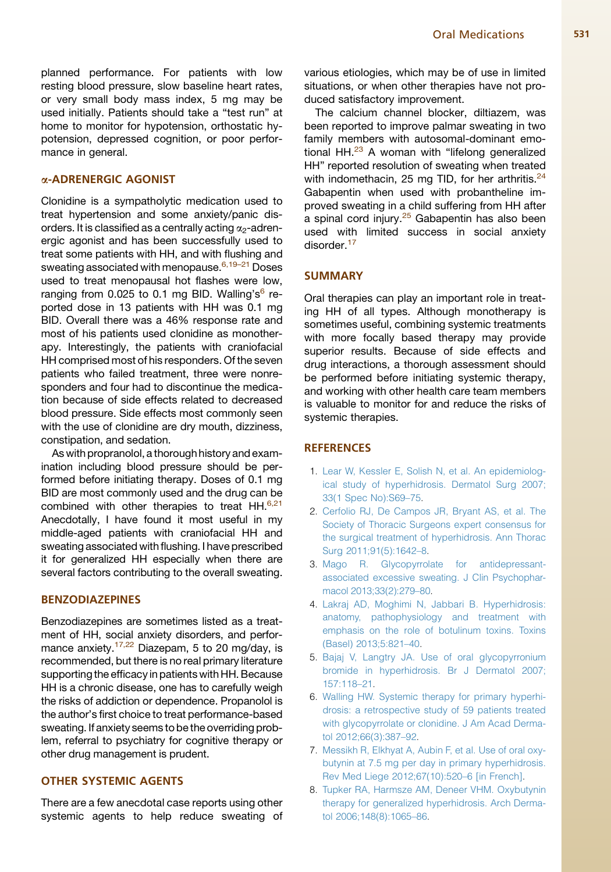<span id="page-4-0"></span>planned performance. For patients with low resting blood pressure, slow baseline heart rates, or very small body mass index, 5 mg may be used initially. Patients should take a "test run" at home to monitor for hypotension, orthostatic hypotension, depressed cognition, or poor performance in general.

### a-ADRENERGIC AGONIST

Clonidine is a sympatholytic medication used to treat hypertension and some anxiety/panic disorders. It is classified as a centrally acting  $\alpha_2$ -adrenergic agonist and has been successfully used to treat some patients with HH, and with flushing and sweating associated with menopause.<sup>6,19–21</sup> Doses used to treat menopausal hot flashes were low, ranging from 0.025 to 0.1 mg BID. Walling's $<sup>6</sup>$  re-</sup> ported dose in 13 patients with HH was 0.1 mg BID. Overall there was a 46% response rate and most of his patients used clonidine as monotherapy. Interestingly, the patients with craniofacial HH comprised most of his responders. Of the seven patients who failed treatment, three were nonresponders and four had to discontinue the medication because of side effects related to decreased blood pressure. Side effects most commonly seen with the use of clonidine are dry mouth, dizziness, constipation, and sedation.

As with propranolol, a thorough history and examination including blood pressure should be performed before initiating therapy. Doses of 0.1 mg BID are most commonly used and the drug can be combined with other therapies to treat  $HH^{6,21}$ . Anecdotally, I have found it most useful in my middle-aged patients with craniofacial HH and sweating associated with flushing. I have prescribed it for generalized HH especially when there are several factors contributing to the overall sweating.

#### BENZODIAZEPINES

Benzodiazepines are sometimes listed as a treatment of HH, social anxiety disorders, and performance anxiety.<sup>17,22</sup> Diazepam, 5 to 20 mg/day, is recommended, but there is no real primary literature supporting the efficacy in patients with HH. Because HH is a chronic disease, one has to carefully weigh the risks of addiction or dependence. Propanolol is the author's first choice to treat performance-based sweating. If anxiety seems to be the overriding problem, referral to psychiatry for cognitive therapy or other drug management is prudent.

# OTHER SYSTEMIC AGENTS

There are a few anecdotal case reports using other systemic agents to help reduce sweating of various etiologies, which may be of use in limited situations, or when other therapies have not produced satisfactory improvement.

The calcium channel blocker, diltiazem, was been reported to improve palmar sweating in two family members with autosomal-dominant emotional HH $^{23}$  $^{23}$  $^{23}$  A woman with "lifelong generalized HH" reported resolution of sweating when treated with indomethacin, 25 mg TID, for her arthritis. $24$ Gabapentin when used with probantheline improved sweating in a child suffering from HH after a spinal cord injury.<sup>[25](#page-5-0)</sup> Gabapentin has also been used with limited success in social anxiety disorder.<sup>[17](#page-5-0)</sup>

## **SUMMARY**

Oral therapies can play an important role in treating HH of all types. Although monotherapy is sometimes useful, combining systemic treatments with more focally based therapy may provide superior results. Because of side effects and drug interactions, a thorough assessment should be performed before initiating systemic therapy, and working with other health care team members is valuable to monitor for and reduce the risks of systemic therapies.

## **REFERENCES**

- 1. [Lear W, Kessler E, Solish N, et al. An epidemiolog](http://refhub.elsevier.com/S0733-8635(14)00069-2/sref1)[ical study of hyperhidrosis. Dermatol Surg 2007;](http://refhub.elsevier.com/S0733-8635(14)00069-2/sref1) [33\(1 Spec No\):S69–75](http://refhub.elsevier.com/S0733-8635(14)00069-2/sref1).
- 2. [Cerfolio RJ, De Campos JR, Bryant AS, et al. The](http://refhub.elsevier.com/S0733-8635(14)00069-2/sref2) [Society of Thoracic Surgeons expert consensus for](http://refhub.elsevier.com/S0733-8635(14)00069-2/sref2) [the surgical treatment of hyperhidrosis. Ann Thorac](http://refhub.elsevier.com/S0733-8635(14)00069-2/sref2) [Surg 2011;91\(5\):1642–8.](http://refhub.elsevier.com/S0733-8635(14)00069-2/sref2)
- 3. [Mago R. Glycopyrrolate for antidepressant](http://refhub.elsevier.com/S0733-8635(14)00069-2/sref3)[associated excessive sweating. J Clin Psychophar](http://refhub.elsevier.com/S0733-8635(14)00069-2/sref3)[macol 2013;33\(2\):279–80.](http://refhub.elsevier.com/S0733-8635(14)00069-2/sref3)
- 4. [Lakraj AD, Moghimi N, Jabbari B. Hyperhidrosis:](http://refhub.elsevier.com/S0733-8635(14)00069-2/sref4) [anatomy, pathophysiology and treatment with](http://refhub.elsevier.com/S0733-8635(14)00069-2/sref4) [emphasis on the role of botulinum toxins. Toxins](http://refhub.elsevier.com/S0733-8635(14)00069-2/sref4) [\(Basel\) 2013;5:821–40](http://refhub.elsevier.com/S0733-8635(14)00069-2/sref4).
- 5. [Bajaj V, Langtry JA. Use of oral glycopyrronium](http://refhub.elsevier.com/S0733-8635(14)00069-2/sref5) [bromide in hyperhidrosis. Br J Dermatol 2007;](http://refhub.elsevier.com/S0733-8635(14)00069-2/sref5) [157:118–21](http://refhub.elsevier.com/S0733-8635(14)00069-2/sref5).
- 6. [Walling HW. Systemic therapy for primary hyperhi](http://refhub.elsevier.com/S0733-8635(14)00069-2/sref6)[drosis: a retrospective study of 59 patients treated](http://refhub.elsevier.com/S0733-8635(14)00069-2/sref6) [with glycopyrrolate or clonidine. J Am Acad Derma](http://refhub.elsevier.com/S0733-8635(14)00069-2/sref6)[tol 2012;66\(3\):387–92](http://refhub.elsevier.com/S0733-8635(14)00069-2/sref6).
- 7. [Messikh R, Elkhyat A, Aubin F, et al. Use of oral oxy](http://refhub.elsevier.com/S0733-8635(14)00069-2/sref7)[butynin at 7.5 mg per day in primary hyperhidrosis.](http://refhub.elsevier.com/S0733-8635(14)00069-2/sref7) [Rev Med Liege 2012;67\(10\):520–6 \[in French\].](http://refhub.elsevier.com/S0733-8635(14)00069-2/sref7)
- 8. [Tupker RA, Harmsze AM, Deneer VHM. Oxybutynin](http://refhub.elsevier.com/S0733-8635(14)00069-2/sref8) [therapy for generalized hyperhidrosis. Arch Derma](http://refhub.elsevier.com/S0733-8635(14)00069-2/sref8)[tol 2006;148\(8\):1065–86](http://refhub.elsevier.com/S0733-8635(14)00069-2/sref8).